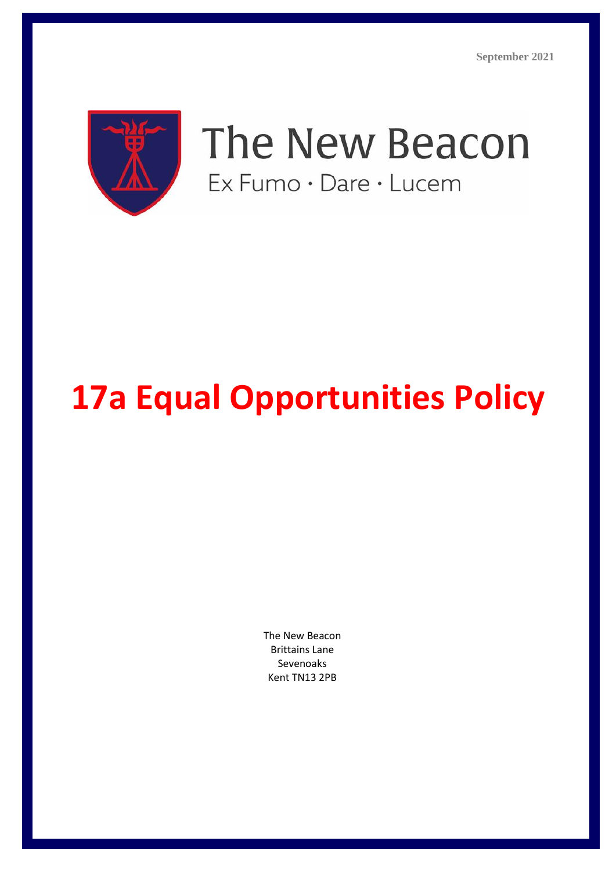

The New Beacon Ex Fumo · Dare · Lucem

# **17a Equal Opportunities Policy**

The New Beacon Brittains Lane Sevenoaks Kent TN13 2PB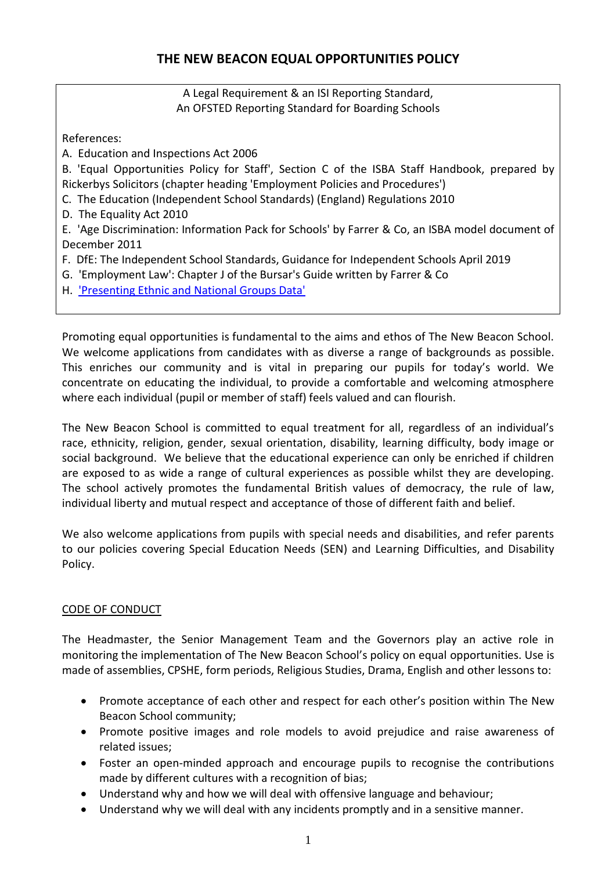# A Legal Requirement & an ISI Reporting Standard, An OFSTED Reporting Standard for Boarding Schools

References:

A. Education and Inspections Act 2006

B. 'Equal Opportunities Policy for Staff', Section C of the ISBA Staff Handbook, prepared by Rickerbys Solicitors (chapter heading 'Employment Policies and Procedures')

- C. The Education (Independent School Standards) (England) Regulations 2010
- D. The Equality Act 2010

E. 'Age Discrimination: Information Pack for Schools' by Farrer & Co, an ISBA model document of December 2011

F. DfE: The Independent School Standards, Guidance for Independent Schools April 2019

- G. 'Employment Law': Chapter J of the Bursar's Guide written by Farrer & Co
- H. ['Presenting Ethnic and National Groups Data'](http://www.ons.gov.uk/ons/guide-method/classifications/archived-standard-classifications/ethnic-group-interim-classification-for-2001/presenting-ethnic-and-national-group-data/index.html)

Promoting equal opportunities is fundamental to the aims and ethos of The New Beacon School. We welcome applications from candidates with as diverse a range of backgrounds as possible. This enriches our community and is vital in preparing our pupils for today's world. We concentrate on educating the individual, to provide a comfortable and welcoming atmosphere where each individual (pupil or member of staff) feels valued and can flourish.

The New Beacon School is committed to equal treatment for all, regardless of an individual's race, ethnicity, religion, gender, sexual orientation, disability, learning difficulty, body image or social background. We believe that the educational experience can only be enriched if children are exposed to as wide a range of cultural experiences as possible whilst they are developing. The school actively promotes the fundamental British values of democracy, the rule of law, individual liberty and mutual respect and acceptance of those of different faith and belief.

We also welcome applications from pupils with special needs and disabilities, and refer parents to our policies covering Special Education Needs (SEN) and Learning Difficulties, and Disability Policy.

# CODE OF CONDUCT

The Headmaster, the Senior Management Team and the Governors play an active role in monitoring the implementation of The New Beacon School's policy on equal opportunities. Use is made of assemblies, CPSHE, form periods, Religious Studies, Drama, English and other lessons to:

- Promote acceptance of each other and respect for each other's position within The New Beacon School community;
- Promote positive images and role models to avoid prejudice and raise awareness of related issues;
- Foster an open-minded approach and encourage pupils to recognise the contributions made by different cultures with a recognition of bias;
- Understand why and how we will deal with offensive language and behaviour;
- Understand why we will deal with any incidents promptly and in a sensitive manner.